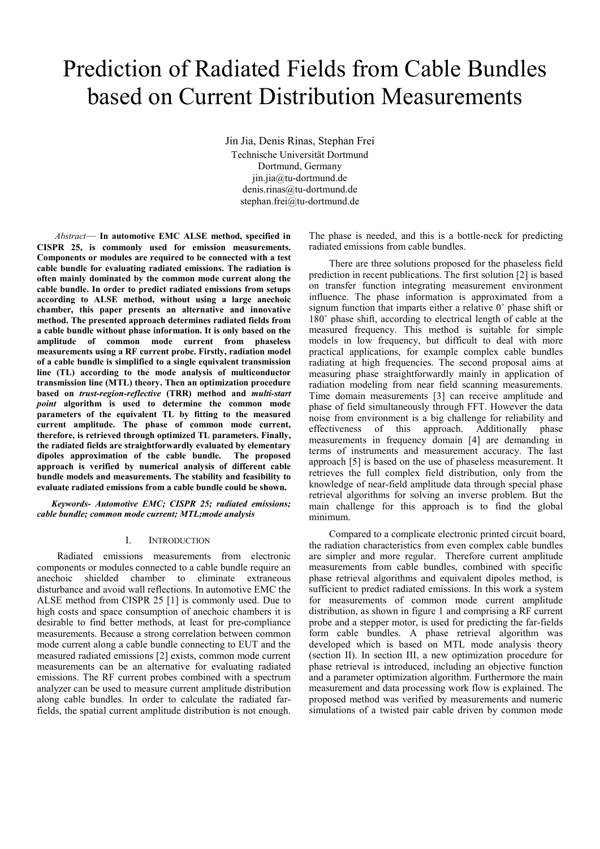# Prediction of Radiated Fields from Cable Bundles based on Current Distribution Measurements

Jin Jia, Denis Rinas, Stephan Frei Technische Universität Dortmund Dortmund, Germany jin.jia@tu-dortmund.de denis.rinas@tu-dortmund.de stephan.frei@tu-dortmund.de

*Abstract*— **In automotive EMC ALSE method, specified in CISPR 25, is commonly used for emission measurements. Components or modules are required to be connected with a test cable bundle for evaluating radiated emissions. The radiation is often mainly dominated by the common mode current along the cable bundle. In order to predict radiated emissions from setups according to ALSE method, without using a large anechoic chamber, this paper presents an alternative and innovative method. The presented approach determines radiated fields from a cable bundle without phase information. It is only based on the amplitude of common mode current from phaseless measurements using a RF current probe. Firstly, radiation model of a cable bundle is simplified to a single equivalent transmission line (TL) according to the mode analysis of multiconductor transmission line (MTL) theory. Then an optimization procedure based on** *trust-region-reflective* **(TRR) method and** *multi-start point* **algorithm is used to determine the common mode parameters of the equivalent TL by fitting to the measured current amplitude. The phase of common mode current, therefore, is retrieved through optimized TL parameters. Finally, the radiated fields are straightforwardly evaluated by elementary dipoles approximation of the cable bundle. The proposed approach is verified by numerical analysis of different cable bundle models and measurements. The stability and feasibility to evaluate radiated emissions from a cable bundle could be shown.** 

*Keywords- Automotive EMC; CISPR 25; radiated emissions; cable bundle; common mode current; MTL;mode analysis* 

# I. INTRODUCTION

Radiated emissions measurements from electronic components or modules connected to a cable bundle require an anechoic shielded chamber to eliminate extraneous disturbance and avoid wall reflections. In automotive EMC the ALSE method from CISPR 25 [1] is commonly used. Due to high costs and space consumption of anechoic chambers it is desirable to find better methods, at least for pre-compliance measurements. Because a strong correlation between common mode current along a cable bundle connecting to EUT and the measured radiated emissions [2] exists, common mode current measurements can be an alternative for evaluating radiated emissions. The RF current probes combined with a spectrum analyzer can be used to measure current amplitude distribution along cable bundles. In order to calculate the radiated farfields, the spatial current amplitude distribution is not enough. The phase is needed, and this is a bottle-neck for predicting radiated emissions from cable bundles.

There are three solutions proposed for the phaseless field prediction in recent publications. The first solution [2] is based on transfer function integrating measurement environment influence. The phase information is approximated from a signum function that imparts either a relative 0˚ phase shift or 180˚ phase shift, according to electrical length of cable at the measured frequency. This method is suitable for simple models in low frequency, but difficult to deal with more practical applications, for example complex cable bundles radiating at high frequencies. The second proposal aims at measuring phase straightforwardly mainly in application of radiation modeling from near field scanning measurements. Time domain measurements [3] can receive amplitude and phase of field simultaneously through FFT. However the data noise from environment is a big challenge for reliability and effectiveness of this approach. Additionally phase measurements in frequency domain [4] are demanding in terms of instruments and measurement accuracy. The last approach [5] is based on the use of phaseless measurement. It retrieves the full complex field distribution, only from the knowledge of near-field amplitude data through special phase retrieval algorithms for solving an inverse problem. But the main challenge for this approach is to find the global minimum.

Compared to a complicate electronic printed circuit board, the radiation characteristics from even complex cable bundles are simpler and more regular. Therefore current amplitude measurements from cable bundles, combined with specific phase retrieval algorithms and equivalent dipoles method, is sufficient to predict radiated emissions. In this work a system for measurements of common mode current amplitude distribution, as shown in figure 1 and comprising a RF current probe and a stepper motor, is used for predicting the far-fields form cable bundles. A phase retrieval algorithm was developed which is based on MTL mode analysis theory (section II). In section III, a new optimization procedure for phase retrieval is introduced, including an objective function and a parameter optimization algorithm. Furthermore the main measurement and data processing work flow is explained. The proposed method was verified by measurements and numeric simulations of a twisted pair cable driven by common mode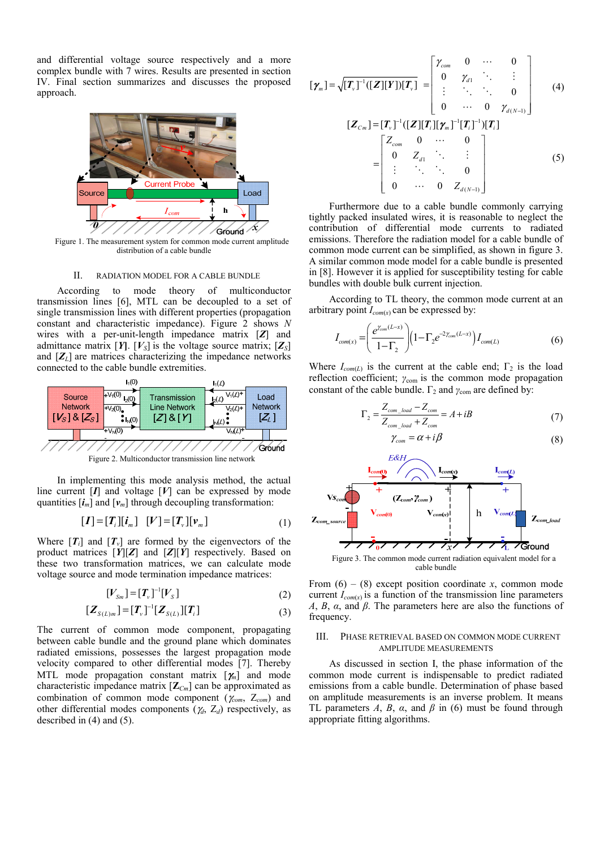and differential voltage source respectively and a more complex bundle with 7 wires. Results are presented in section IV. Final section summarizes and discusses the proposed approach.



Figure 1. The measurement system for common mode current amplitude distribution of a cable bundle

# II. RADIATION MODEL FOR A CABLE BUNDLE

According to mode theory of multiconductor transmission lines [6], MTL can be decoupled to a set of single transmission lines with different properties (propagation constant and characteristic impedance). Figure 2 shows *N* wires with a per-unit-length impedance matrix [*Z*] and admittance matrix [*Y*]. [ $V_S$ ] is the voltage source matrix; [ $\mathbb{Z}_S$ ] and  $[Z_L]$  are matrices characterizing the impedance networks connected to the cable bundle extremities.



Figure 2. Multiconductor transmission line network

In implementing this mode analysis method, the actual line current [*I*] and voltage [*V*] can be expressed by mode quantities  $[i_m]$  and  $[v_m]$  through decoupling transformation:

$$
[I] = [Ti][im] [V] = [Tv][vm]
$$
\n(1)

Where  $[T_i]$  and  $[T_v]$  are formed by the eigenvectors of the product matrices [*Y*][*Z*] and [*Z*][*Y*] respectively. Based on these two transformation matrices, we can calculate mode voltage source and mode termination impedance matrices:

$$
[V_{\mathit{Sm}}] = [T_{\mathit{v}}]^{-1} [V_{\mathit{S}}]
$$
\n(2)

$$
[\boldsymbol{Z}_{S(L)m}]=[\boldsymbol{T}_{v}]^{-1}[\boldsymbol{Z}_{S(L)}][\boldsymbol{T}_{i}]
$$
\n(3)

The current of common mode component, propagating between cable bundle and the ground plane which dominates radiated emissions, possesses the largest propagation mode velocity compared to other differential modes [7]. Thereby MTL mode propagation constant matrix [γ*m*] and mode characteristic impedance matrix [**Z***Cm*] can be approximated as combination of common mode component (γ*com*, Z*com*) and other differential modes components (γ*d*, Z*d*) respectively, as described in (4) and (5).

$$
[\gamma_{m}] = \sqrt{[\mathcal{T}_{v}]^{-1}([\mathcal{Z}][\mathcal{Y}])[\mathcal{T}_{v}]} = \begin{bmatrix} \gamma_{com} & 0 & \cdots & 0 \\ 0 & \gamma_{d1} & \ddots & \vdots \\ \vdots & \ddots & \ddots & 0 \\ 0 & \cdots & 0 & \gamma_{d(N-1)} \end{bmatrix}
$$
(4)  

$$
[\mathcal{Z}_{Cm}] = [\mathcal{T}_{v}]^{-1}([\mathcal{Z}][\mathcal{T}_{i}][\gamma_{m}]^{-1}[\mathcal{T}_{i}]^{-1})[\mathcal{T}_{i}]
$$
  

$$
= \begin{bmatrix} Z_{com} & 0 & \cdots & 0 \\ 0 & Z_{d1} & \ddots & \vdots \\ \vdots & \ddots & \ddots & 0 \\ 0 & \cdots & 0 & Z_{d(N-1)} \end{bmatrix}
$$
(5)

Furthermore due to a cable bundle commonly carrying tightly packed insulated wires, it is reasonable to neglect the contribution of differential mode currents to radiated emissions. Therefore the radiation model for a cable bundle of common mode current can be simplified, as shown in figure 3. A similar common mode model for a cable bundle is presented in [8]. However it is applied for susceptibility testing for cable bundles with double bulk current injection.

According to TL theory, the common mode current at an arbitrary point  $I_{com(x)}$  can be expressed by:

$$
I_{com(x)} = \left(\frac{e^{\gamma_{com}(L-x)}}{1-\Gamma_2}\right) \left(1-\Gamma_2 e^{-2\gamma_{com}(L-x)}\right) I_{com(L)}
$$
(6)

Where  $I_{com(L)}$  is the current at the cable end;  $\Gamma_2$  is the load reflection coefficient; *γ*<sub>com</sub> is the common mode propagation constant of the cable bundle.  $\Gamma_2$  and  $\gamma_{\text{com}}$  are defined by:

$$
\Gamma_2 = \frac{Z_{com\_load} - Z_{com}}{Z_{com\_load} + Z_{com}} = A + iB
$$
\n(7)

$$
\gamma_{com} = \alpha + i\beta \tag{8}
$$



From  $(6) - (8)$  except position coordinate *x*, common mode current  $I_{com(x)}$  is a function of the transmission line parameters *A*, *B*, *α*, and *β*. The parameters here are also the functions of frequency.

# III. PHASE RETRIEVAL BASED ON COMMON MODE CURRENT AMPLITUDE MEASUREMENTS

As discussed in section Ι, the phase information of the common mode current is indispensable to predict radiated emissions from a cable bundle. Determination of phase based on amplitude measurements is an inverse problem. It means TL parameters  $A$ ,  $B$ ,  $\alpha$ , and  $\beta$  in (6) must be found through appropriate fitting algorithms.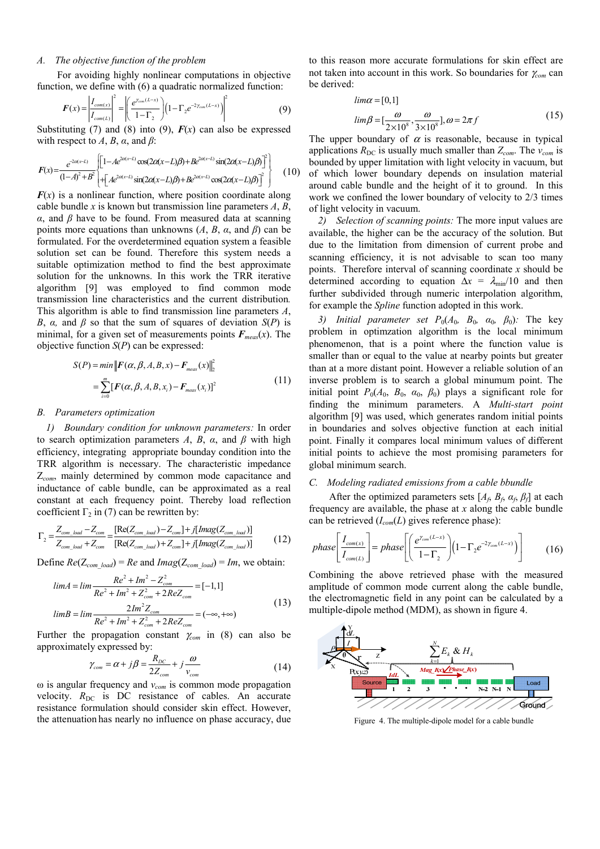# *A. The objective function of the problem*

For avoiding highly nonlinear computations in objective function, we define with (6) a quadratic normalized function:

$$
F(x) = \left| \frac{I_{com(x)}}{I_{com(L)}} \right|^2 = \left| \left( \frac{e^{\gamma_{com}(L-x)}}{1-\Gamma_2} \right) \left( 1 - \Gamma_2 e^{-2\gamma_{com}(L-x)} \right) \right|^2 \tag{9}
$$

Substituting (7) and (8) into (9),  $F(x)$  can also be expressed with respect to  $A$ ,  $B$ ,  $\alpha$ , and  $\beta$ :

$$
F(x) = \frac{e^{-2\alpha(x-L)}}{(1-A)^2+B^2} \left\{ \left[ 1 - Ae^{2\alpha(x-L)} \cos(2\alpha(x-L)\beta) + Be^{2\alpha(x-L)} \sin(2\alpha(x-L)\beta) \right]^2 \right\} + \left[ Ae^{2\alpha(x-L)} \sin(2\alpha(x-L)\beta) + Be^{2\alpha(x-L)} \cos(2\alpha(x-L)\beta) \right]^2 \right\}
$$
(10)

 $F(x)$  is a nonlinear function, where position coordinate along cable bundle *x* is known but transmission line parameters *A*, *B*, *α*, and *β* have to be found. From measured data at scanning points more equations than unknowns  $(A, B, \alpha, \text{ and } \beta)$  can be formulated. For the overdetermined equation system a feasible solution set can be found. Therefore this system needs a suitable optimization method to find the best approximate solution for the unknowns. In this work the TRR iterative algorithm [9] was employed to find common mode transmission line characteristics and the current distribution*.*  This algorithm is able to find transmission line parameters *A*, *B*, *α*, and *β* so that the sum of squares of deviation *S*(*P*) is minimal, for a given set of measurements points  $F_{meas}(x)$ . The objective function *S*(*P*) can be expressed:

$$
S(P) = min \left\| F(\alpha, \beta, A, B, x) - F_{meas}(x) \right\|_{2}^{2}
$$
  
= 
$$
\sum_{i=0}^{m} \left[ F(\alpha, \beta, A, B, x_{i}) - F_{meas}(x_{i}) \right]^{2}
$$
 (11)

## *B. Parameters optimization*

*1) Boundary condition for unknown parameters:* In order to search optimization parameters *A*, *B*,  $\alpha$ , and  $\beta$  with high efficiency, integrating appropriate bounday condition into the TRR algorithm is necessary. The characteristic impedance Z*com*, mainly determined by common mode capacitance and inductance of cable bundle, can be approximated as a real constant at each frequency point. Thereby load reflection coefficient  $\Gamma_2$  in (7) can be rewritten by:

$$
\Gamma_2 = \frac{Z_{com\_load} - Z_{com}}{Z_{com\_load} + Z_{com}} = \frac{[\text{Re}(Z_{com\_load}) - Z_{com}] + j[Imag(Z_{com\_load})]}{[\text{Re}(Z_{com\_load}) + Z_{com}] + j[Imag(Z_{com\_load})]}
$$
(12)

Define  $Re(Z_{com\ load}) = Re$  and  $Imag(Z_{com\ load}) = Im$ , we obtain:

$$
lim A = lim \frac{Re^{2} + Im^{2} - Z_{com}^{2}}{Re^{2} + Im^{2} + Z_{com}^{2} + 2ReZ_{com}} = [-1, 1]
$$
  
\n
$$
lim B = lim \frac{2Im^{2}Z_{com}}{Re^{2} + Im^{2} + Z_{com}^{2} + 2ReZ_{com}} = (-\infty, +\infty)
$$
\n(13)

Further the propagation constant γ*com* in (8) can also be approximately expressed by:

$$
\gamma_{com} = \alpha + j\beta = \frac{R_{DC}}{2Z_{com}} + j\frac{\omega}{v_{com}}
$$
\n(14)

ω is angular frequency and *v<sub>com</sub>* is common mode propagation velocity.  $R_{DC}$  is DC resistance of cables. An accurate resistance formulation should consider skin effect. However, the attenuation has nearly no influence on phase accuracy, due to this reason more accurate formulations for skin effect are not taken into account in this work. So boundaries for γ*com* can be derived:

$$
lim \alpha = [0,1]
$$
  

$$
lim \beta = \left[\frac{\omega}{2 \times 10^8}, \frac{\omega}{3 \times 10^8}\right], \omega = 2\pi f \tag{15}
$$

The upper boundary of  $\alpha$  is reasonable, because in typical applications  $R_{\text{DC}}$  is usually much smaller than  $Z_{com}$ . The  $v_{com}$  is bounded by upper limitation with light velocity in vacuum, but of which lower boundary depends on insulation material around cable bundle and the height of it to ground. In this work we confined the lower boundary of velocity to 2/3 times of light velocity in vacuum.

*2) Selection of scanning points:* The more input values are available, the higher can be the accuracy of the solution. But due to the limitation from dimension of current probe and scanning efficiency, it is not advisable to scan too many points. Therefore interval of scanning coordinate *x* should be determined according to equation  $\Delta x = \lambda_{\text{min}}/10$  and then further subdivided through numeric interpolation algorithm, for example the *Spline* function adopted in this work.

*3) Initial parameter set*  $P_0(A_0, B_0, \alpha_0, \beta_0)$ *:* The key problem in optimzation algorithm is the local minimum phenomenon, that is a point where the function value is smaller than or equal to the value at nearby points but greater than at a more distant point. However a reliable solution of an inverse problem is to search a global minumum point. The initial point  $P_0(A_0, B_0, \alpha_0, \beta_0)$  plays a significant role for finding the minimum parameters. A *Multi-start point*  algorithm [9] was used, which generates random initial points in boundaries and solves objective function at each initial point. Finally it compares local minimum values of different initial points to achieve the most promising parameters for global minimum search.

### *C. Modeling radiated emissions from a cable bbundle*

After the optimized parameters sets  $[A_f, B_f, \alpha_f, \beta_f]$  at each frequency are available, the phase at *x* along the cable bundle can be retrieved  $(I_{com}(L)$  gives reference phase):

$$
phase \left[ \frac{I_{com(x)}}{I_{com(L)}} \right] = phase \left[ \left( \frac{e^{\gamma_{com}(L-x)}}{1-\Gamma_2} \right) \left(1-\Gamma_2 e^{-2\gamma_{com}(L-x)} \right) \right] \tag{16}
$$

Combining the above retrieved phase with the measured amplitude of common mode current along the cable bundle, the electromagnetic field in any point can be calculated by a multiple-dipole method (MDM), as shown in figure 4.



Figure 4. The multiple-dipole model for a cable bundle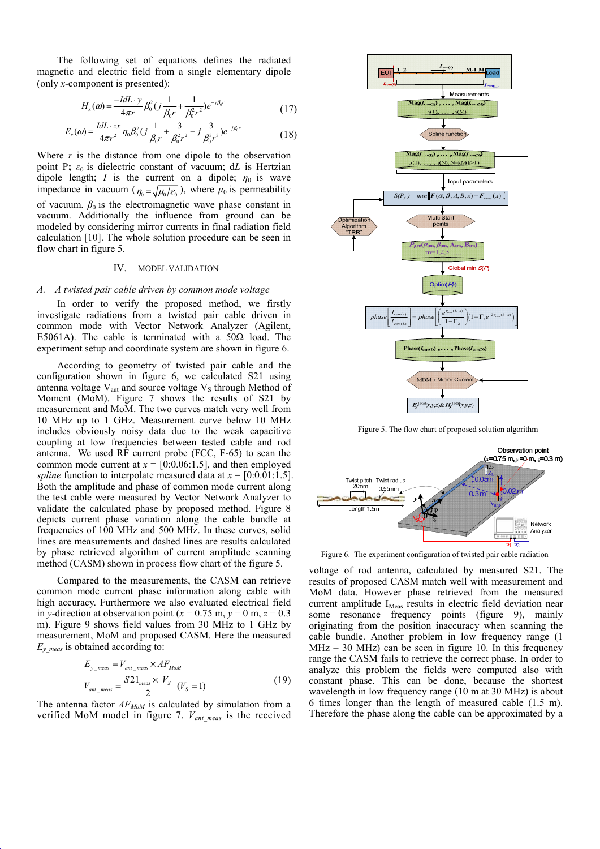The following set of equations defines the radiated magnetic and electric field from a single elementary dipole (only *x*-component is presented):

$$
H_x(\omega) = \frac{-ldL \cdot y}{4\pi r} \beta_0^2 (j \frac{1}{\beta_0 r} + \frac{1}{\beta_0^2 r^2}) e^{-j\beta_0 r}
$$
 (17)

$$
E_x(\omega) = \frac{IdL \cdot zx}{4\pi r^2} \eta_0 \beta_0^2 (j \frac{1}{\beta_0 r} + \frac{3}{\beta_0^2 r^2} - j \frac{3}{\beta_0^3 r^3}) e^{-j\beta_0 r}
$$
(18)

Where  $r$  is the distance from one dipole to the observation point P;  $\varepsilon_0$  is dielectric constant of vacuum; dL is Hertzian dipole length; *I* is the current on a dipole;  $\eta_0$  is wave impedance in vacuum ( $\eta_0 = \sqrt{\mu_0/\varepsilon_0}$ ), where  $\mu_0$  is permeability of vacuum.  $\beta_0$  is the electromagnetic wave phase constant in vacuum. Additionally the influence from ground can be modeled by considering mirror currents in final radiation field calculation [10]. The whole solution procedure can be seen in flow chart in figure 5.

#### IV. MODEL VALIDATION

#### *A. A twisted pair cable driven by common mode voltage*

In order to verify the proposed method, we firstly investigate radiations from a twisted pair cable driven in common mode with Vector Network Analyzer (Agilent, E5061A). The cable is terminated with a  $50\Omega$  load. The experiment setup and coordinate system are shown in figure 6.

According to geometry of twisted pair cable and the configuration shown in figure 6, we calculated S21 using antenna voltage  $V_{ant}$  and source voltage  $V_S$  through Method of Moment (MoM). Figure 7 shows the results of S21 by measurement and MoM. The two curves match very well from 10 MHz up to 1 GHz. Measurement curve below 10 MHz includes obviously noisy data due to the weak capacitive coupling at low frequencies between tested cable and rod antenna. We used RF current probe (FCC, F-65) to scan the common mode current at  $x = [0:0.06:1.5]$ , and then employed *spline* function to interpolate measured data at  $x = [0:0.01:1.5]$ . Both the amplitude and phase of common mode current along the test cable were measured by Vector Network Analyzer to validate the calculated phase by proposed method. Figure 8 depicts current phase variation along the cable bundle at frequencies of 100 MHz and 500 MHz. In these curves, solid lines are measurements and dashed lines are results calculated by phase retrieved algorithm of current amplitude scanning method (CASM) shown in process flow chart of the figure 5.

Compared to the measurements, the CASM can retrieve common mode current phase information along cable with high accuracy. Furthermore we also evaluated electrical field in *y*-direction at observation point ( $x = 0.75$  m,  $y = 0$  m,  $z = 0.3$ ) m). Figure 9 shows field values from 30 MHz to 1 GHz by measurement, MoM and proposed CASM. Here the measured  $E_{v\text{meas}}$  is obtained according to:

$$
E_{y_{\text{meas}}} = V_{\text{ant\_meas}} \times AF_{\text{MOM}}
$$
  

$$
V_{\text{ant\_meas}} = \frac{S21_{\text{meas}} \times V_S}{2} \quad (V_S = 1)
$$
 (19)

The antenna factor  $AF_{M\circ M}$  is calculated by simulation from a verified MoM model in figure 7.  $V_{ant \, meas}$  is the received



Figure 5. The flow chart of proposed solution algorithm



Figure 6. The experiment configuration of twisted pair cable radiation

voltage of rod antenna, calculated by measured S21. The results of proposed CASM match well with measurement and MoM data. However phase retrieved from the measured current amplitude I<sub>Meas</sub> results in electric field deviation near some resonance frequency points (figure 9), mainly originating from the position inaccuracy when scanning the cable bundle. Another problem in low frequency range (1  $MHz - 30 MHz$ ) can be seen in figure 10. In this frequency range the CASM fails to retrieve the correct phase. In order to analyze this problem the fields were computed also with constant phase. This can be done, because the shortest wavelength in low frequency range (10 m at 30 MHz) is about 6 times longer than the length of measured cable (1.5 m). Therefore the phase along the cable can be approximated by a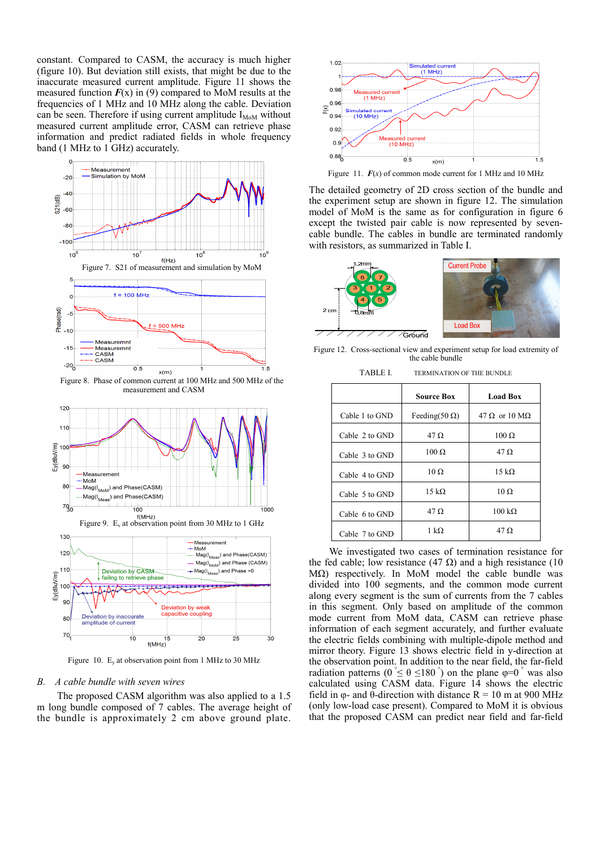constant. Compared to CASM, the accuracy is much higher (figure 10). But deviation still exists, that might be due to the inaccurate measured current amplitude. Figure 11 shows the measured function  $F(x)$  in (9) compared to MoM results at the frequencies of 1 MHz and 10 MHz along the cable. Deviation can be seen. Therefore if using current amplitude  $I_{M_0M}$  without measured current amplitude error, CASM can retrieve phase information and predict radiated fields in whole frequency band (1 MHz to 1 GHz) accurately.



Figure 10. E<sub>y</sub> at observation point from 1 MHz to 30 MHz

# *B. A cable bundle with seven wires*

The proposed CASM algorithm was also applied to a 1.5 m long bundle composed of 7 cables. The average height of the bundle is approximately 2 cm above ground plate.



Figure 11.  $F(x)$  of common mode current for 1 MHz and 10 MHz

The detailed geometry of 2D cross section of the bundle and the experiment setup are shown in figure 12. The simulation model of MoM is the same as for configuration in figure 6 except the twisted pair cable is now represented by sevencable bundle. The cables in bundle are terminated randomly with resistors, as summarized in Table Ι.



Figure 12. Cross-sectional view and experiment setup for load extremity of the cable bundle

|                | Source Box            | <b>Load Box</b>                     |
|----------------|-----------------------|-------------------------------------|
| Cable 1 to GND | Feeding(50 $\Omega$ ) | $47 \Omega$ or $10 \text{ M}\Omega$ |
| Cable 2 to GND | $47 \Omega$           | $100 \Omega$                        |
| Cable 3 to GND | $100 \Omega$          | $47 \Omega$                         |
| Cable 4 to GND | $10 \Omega$           | 15 k $\Omega$                       |
| Cable 5 to GND | $15 \text{ k}\Omega$  | $10 \Omega$                         |
| Cable 6 to GND | $47 \Omega$           | $100 \text{ k}\Omega$               |
| Cable 7 to GND | 1 kO                  | 47 $\Omega$                         |

We investigated two cases of termination resistance for the fed cable; low resistance (47  $\Omega$ ) and a high resistance (10 MΩ) respectively. In MoM model the cable bundle was divided into 100 segments, and the common mode current along every segment is the sum of currents from the 7 cables in this segment. Only based on amplitude of the common mode current from MoM data, CASM can retrieve phase information of each segment accurately, and further evaluate the electric fields combining with multiple-dipole method and mirror theory. Figure 13 shows electric field in y-direction at the observation point. In addition to the near field, the far-field radiation patterns ( $0 \le \theta \le 180$ ) on the plane  $\varphi = 0$  was also calculated using CASM data. Figure 14 shows the electric field in  $\varphi$ - and  $\theta$ -direction with distance R = 10 m at 900 MHz (only low-load case present). Compared to MoM it is obvious that the proposed CASM can predict near field and far-field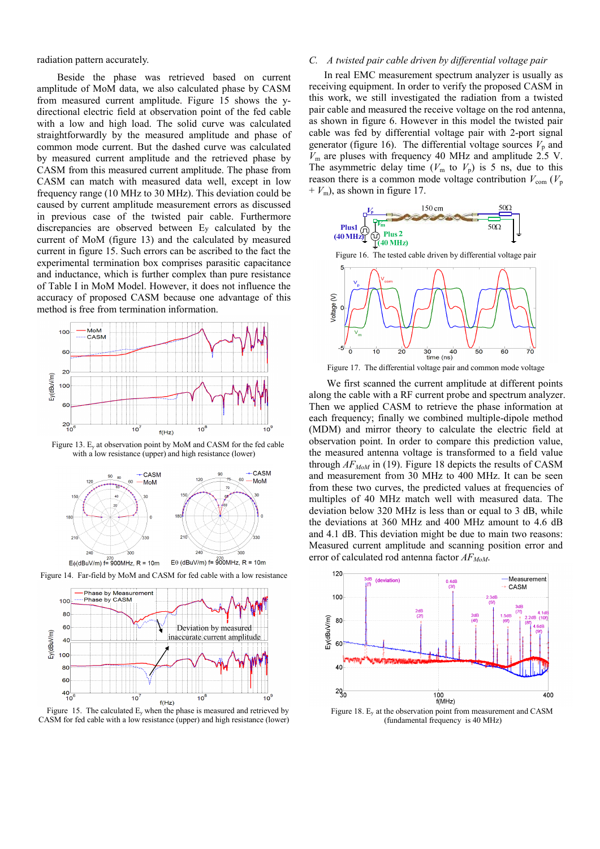radiation pattern accurately.

Beside the phase was retrieved based on current amplitude of MoM data, we also calculated phase by CASM from measured current amplitude. Figure 15 shows the ydirectional electric field at observation point of the fed cable with a low and high load. The solid curve was calculated straightforwardly by the measured amplitude and phase of common mode current. But the dashed curve was calculated by measured current amplitude and the retrieved phase by CASM from this measured current amplitude. The phase from CASM can match with measured data well, except in low frequency range (10 MHz to 30 MHz). This deviation could be caused by current amplitude measurement errors as discussed in previous case of the twisted pair cable. Furthermore discrepancies are observed between Ey calculated by the current of MoM (figure 13) and the calculated by measured current in figure 15. Such errors can be ascribed to the fact the experimental termination box comprises parasitic capacitance and inductance, which is further complex than pure resistance of Table I in MoM Model. However, it does not influence the accuracy of proposed CASM because one advantage of this method is free from termination information.



Figure 13. Ey at observation point by MoM and CASM for the fed cable with a low resistance (upper) and high resistance (lower)



Figure 14. Far-field by MoM and CASM for fed cable with a low resistance



Figure 15. The calculated  $E_y$  when the phase is measured and retrieved by CASM for fed cable with a low resistance (upper) and high resistance (lower)

# *C. A twisted pair cable driven by differential voltage pair*

In real EMC measurement spectrum analyzer is usually as receiving equipment. In order to verify the proposed CASM in this work, we still investigated the radiation from a twisted pair cable and measured the receive voltage on the rod antenna, as shown in figure 6. However in this model the twisted pair cable was fed by differential voltage pair with 2-port signal generator (figure 16). The differential voltage sources  $V_p$  and *V*m are pluses with frequency 40 MHz and amplitude 2.5 V. The asymmetric delay time  $(V_m$  to  $V_p$ ) is 5 ns, due to this reason there is a common mode voltage contribution  $V_{\text{com}}(V_p)$  $+ V_{\text{m}}$ ), as shown in figure 17.



Figure 16. The tested cable driven by differential voltage pair



Figure 17. The differential voltage pair and common mode voltage

 We first scanned the current amplitude at different points along the cable with a RF current probe and spectrum analyzer. Then we applied CASM to retrieve the phase information at each frequency; finally we combined multiple-dipole method (MDM) and mirror theory to calculate the electric field at observation point. In order to compare this prediction value, the measured antenna voltage is transformed to a field value through  $AF_{M\text{o}M}$  in (19). Figure 18 depicts the results of CASM and measurement from 30 MHz to 400 MHz. It can be seen from these two curves, the predicted values at frequencies of multiples of 40 MHz match well with measured data. The deviation below 320 MHz is less than or equal to 3 dB, while the deviations at 360 MHz and 400 MHz amount to 4.6 dB and 4.1 dB. This deviation might be due to main two reasons: Measured current amplitude and scanning position error and error of calculated rod antenna factor  $AF_{M_0M}$ .



 Figure 18. Ey at the observation point from measurement and CASM (fundamental frequency is 40 MHz)